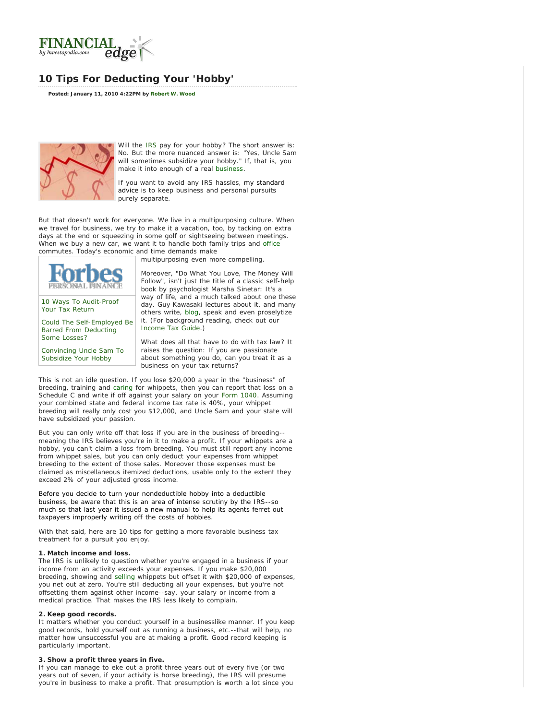<span id="page-0-0"></span>

# **10 Tips For Deducting Your 'Hobby'**

**Posted: January 11, 2010 4:22PM by [Robert W. Wood](http://www.investopedia.com/contributors/default.aspx?id=394)**



Will the [IRS](http://www.investopedia.com/terms/i/irs.asp) pay for your hobby? The short answer is: No. But the more nuanced answer is: "Yes, Uncle Sam will sometimes subsidize your hobby." If, that is, you make it into enough of a real [business.](#page-0-0)

If you want to avoid any IRS hassles, my standard advice is to keep business and personal pursuits purely separate.

But that doesn't work for everyone. We live in a multipurposing culture. When we travel for business, we try to make it a vacation, too, by tacking on extra days at the end or squeezing in some golf or sightseeing between meetings. When we buy a new car, we want it to handle both family trips and [office](#page-0-0) commutes. Today's economic and time demands make



[10 Ways To Audit-Proof](http://www.forbes.com/2009/11/03/audit-proof-tax-return-irs-personal-finance-wood.html?partner=relatedstoriesbox) [Your Tax Return](http://www.forbes.com/2009/11/03/audit-proof-tax-return-irs-personal-finance-wood.html?partner=relatedstoriesbox)

[Could The Self-Employed Be](http://www.forbes.com/2009/10/13/self-employed-tax-gap-gao-personal-finance-losses.html) [Barred From Deducting](http://www.forbes.com/2009/10/13/self-employed-tax-gap-gao-personal-finance-losses.html) [Some Losses?](http://www.forbes.com/2009/10/13/self-employed-tax-gap-gao-personal-finance-losses.html)

[Convincing Uncle Sam To](http://www.forbes.com/2009/07/10/irs-taxes-hobbies-personal-finance-hobby_slide.html) [Subsidize Your Hobby](http://www.forbes.com/2009/07/10/irs-taxes-hobbies-personal-finance-hobby_slide.html)

multipurposing even more compelling.

Moreover, "Do What You Love, The Money Will Follow", isn't just the title of a classic self-help book by psychologist Marsha Sinetar: It's a way of life, and a much talked about one these day. Guy Kawasaki lectures about it, and many others write, [blog](#page-0-0), speak and even proselytize it. (For background reading, check out our *[Income Tax Guide](http://www.investopedia.com/features/incometax.aspx)*.)

What does all that have to do with tax law? It raises the question: If you are passionate about something you do, can you treat it as a business on your tax returns?

This is not an idle question. If you lose \$20,000 a year in the "business" of breeding, training and [caring](#page-0-0) for whippets, then you can report that loss on a Schedule C and write if off against your salary on your [Form 1040.](http://www.investopedia.com/terms/1/1040.asp) Assuming your combined state and federal income tax rate is 40%, your whippet breeding will really only cost you \$12,000, and Uncle Sam and your state will have subsidized your passion.

But you can only write off that loss if you are in the business of breeding- meaning the IRS believes you're in it to make a profit. If your whippets are a hobby, you can't claim a loss from breeding. You must still report any income from whippet sales, but you can only deduct your expenses from whippet breeding to the extent of those sales. Moreover those expenses must be claimed as miscellaneous itemized deductions, usable only to the extent they exceed 2% of your adjusted gross income.

Before you decide to turn your nondeductible hobby into a deductible business, be aware that this is an area of intense scrutiny by the IRS--so much so that last year it issued a new manual to help its agents ferret out taxpayers improperly writing off the costs of hobbies.

With that said, here are 10 tips for getting a more favorable business tax treatment for a pursuit you enjoy.

#### **1. Match income and loss.**

The IRS is unlikely to question whether you're engaged in a business if your income from an activity exceeds your expenses. If you make \$20,000 breeding, showing and [selling](#page-0-0) whippets but offset it with \$20,000 of expenses, you net out at zero. You're still deducting all your expenses, but you're not offsetting them against other income--say, your salary or income from a medical practice. That makes the IRS less likely to complain.

## **2. Keep good records.**

It matters whether you conduct yourself in a businesslike manner. If you keep good records, hold yourself out as running a business, etc.--that will help, no matter how unsuccessful you are at making a profit. Good record keeping is particularly important.

## **3. Show a profit three years in five.**

If you can manage to eke out a profit three years out of every five (or two years out of seven, if your activity is horse breeding), the IRS will presume you're in business to make a profit. That presumption is worth a lot since you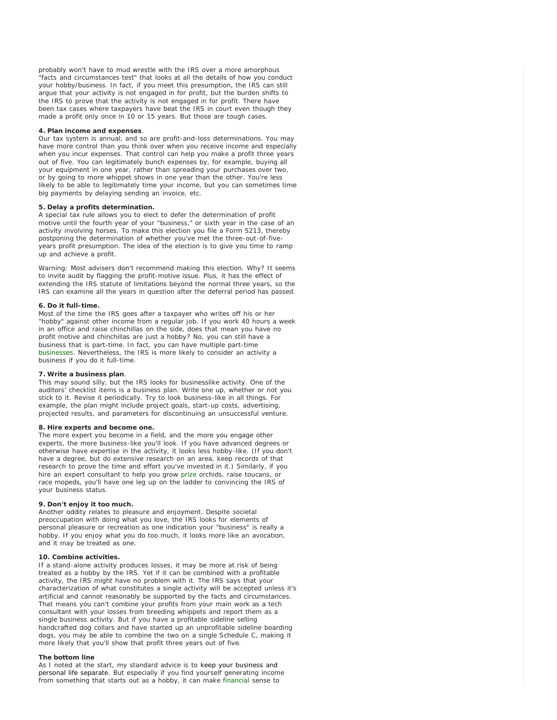probably won't have to mud wrestle with the IRS over a more amorphous facts and circumstances test" that looks at all the details of how you conduct your hobby/business. In fact, if you meet this presumption, the IRS can still argue that your activity is not engaged in for profit, but the burden shifts to the IRS to prove that the activity is not engaged in for profit. There have been tax cases where taxpayers have beat the IRS in court even though they made a profit only once in 10 or 15 years. But those are tough cases.

# **4. Plan income and expenses**.

Our tax system is annual, and so are profit-and-loss determinations. You may have more control than you think over when you receive income and especially when you incur expenses. That control can help you make a profit three years out of five. You can legitimately bunch expenses by, for example, buying all your equipment in one year, rather than spreading your purchases over two, or by going to more whippet shows in one year than the other. You're less likely to be able to legitimately time your income, but you can sometimes time big payments by delaying sending an invoice, etc.

# **5. Delay a profits determination.**

A special tax rule allows you to elect to defer the determination of profit motive until the fourth year of your "business," or sixth year in the case of an activity involving horses. To make this election you file a Form 5213, thereby postponing the determination of whether you've met the three-out-of-fiveyears profit presumption. The idea of the election is to give you time to ramp up and achieve a profit.

Warning: Most advisers don't recommend making this election. Why? It seems to invite audit by flagging the profit-motive issue. Plus, it has the effect of extending the IRS statute of limitations beyond the normal three years, so the IRS can examine all the years in question after the deferral period has passed.

#### **6. Do it full-time.**

Most of the time the IRS goes after a taxpayer who writes off his or her "hobby" against other income from a regular job. If you work 40 hours a week in an office and raise chinchillas on the side, does that mean you have no profit motive and chinchillas are just a hobby? No, you can still have a business that is part-time. In fact, you can have multiple part-time [businesses](#page-0-0). Nevertheless, the IRS is more likely to consider an activity a business if you do it full-time.

#### **7. Write a business plan**.

This may sound silly, but the IRS looks for businesslike activity. One of the auditors' checklist items is a business plan. Write one up, whether or not you stick to it. Revise it periodically. Try to look business-like in all things. For example, the plan might include project goals, start-up costs, advertising, projected results, and parameters for discontinuing an unsuccessful venture.

# **8. Hire experts and become one.**

The more expert you become in a field, and the more you engage other experts, the more business-like you'll look. If you have advanced degrees or otherwise have expertise in the activity, it looks less hobby-like. (If you don't have a degree, but do extensive research on an area, keep records of that research to prove the time and effort you've invested in it.) Similarly, if you hire an expert consultant to help you grow [prize](#page-0-0) orchids, raise toucans, or race mopeds, you'll have one leg up on the ladder to convincing the IRS of your business status.

#### **9. Don't enjoy it too much.**

Another oddity relates to pleasure and enjoyment. Despite societal preoccupation with doing what you love, the IRS looks for elements of personal pleasure or recreation as one indication your "business" is really a hobby. If you enjoy what you do too much, it looks more like an avocation, and it may be treated as one.

## **10. Combine activities.**

If a stand-alone activity produces losses, it may be more at risk of being treated as a hobby by the IRS. Yet if it can be combined with a profitable activity, the IRS might have no problem with it. The IRS says that your characterization of what constitutes a single activity will be accepted unless it's artificial and cannot reasonably be supported by the facts and circumstances. That means you can't combine your profits from your main work as a tech consultant with your losses from breeding whippets and report them as a single business activity. But if you have a profitable sideline selling handcrafted dog collars and have started up an unprofitable sideline boarding dogs, you may be able to combine the two on a single Schedule C, making it more likely that you'll show that profit three years out of five.

## **The bottom line**

As I noted at the start, my standard advice is to keep your business and personal life separate. But especially if you find yourself generating income from something that starts out as a hobby, it can make [financial](#page-0-0) sense to